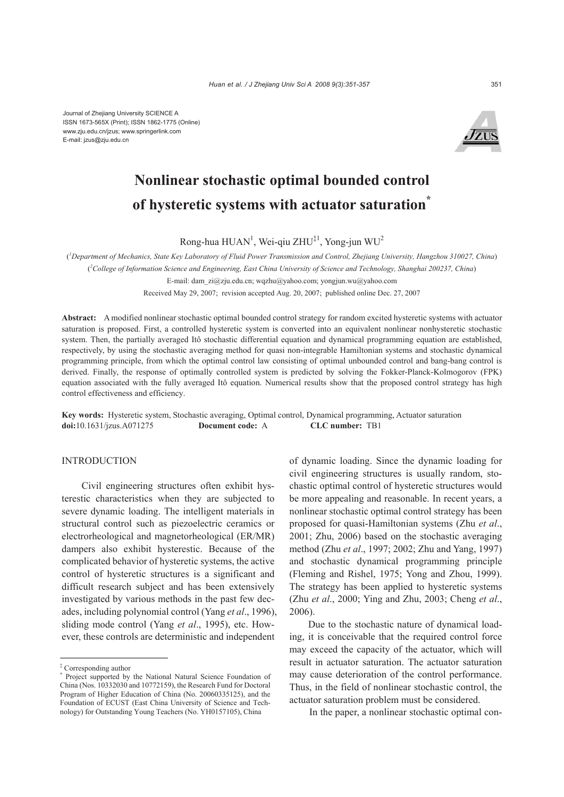Journal of Zhejiang University SCIENCE A ISSN 1673-565X (Print); ISSN 1862-1775 (Online) www.zju.edu.cn/jzus; www.springerlink.com E-mail: jzus@zju.edu.cn



# **Nonlinear stochastic optimal bounded control of hysteretic systems with actuator saturation\***

Rong-hua  $HUAN<sup>1</sup>$ , Wei-qiu ZHU<sup>‡1</sup>, Yong-jun WU<sup>2</sup>

( *1 Department of Mechanics, State Key Laboratory of Fluid Power Transmission and Control, Zhejiang University, Hangzhou 310027, China*) ( *2 College of Information Science and Engineering, East China University of Science and Technology, Shanghai 200237, China*) E-mail: dam\_zi@zju.edu.cn; wqzhu@yahoo.com; yongjun.wu@yahoo.com

Received May 29, 2007; revision accepted Aug. 20, 2007; published online Dec. 27, 2007

**Abstract:** A modified nonlinear stochastic optimal bounded control strategy for random excited hysteretic systems with actuator saturation is proposed. First, a controlled hysteretic system is converted into an equivalent nonlinear nonhysteretic stochastic system. Then, the partially averaged Itô stochastic differential equation and dynamical programming equation are established, respectively, by using the stochastic averaging method for quasi non-integrable Hamiltonian systems and stochastic dynamical programming principle, from which the optimal control law consisting of optimal unbounded control and bang-bang control is derived. Finally, the response of optimally controlled system is predicted by solving the Fokker-Planck-Kolmogorov (FPK) equation associated with the fully averaged Itô equation. Numerical results show that the proposed control strategy has high control effectiveness and efficiency.

**Key words:** Hysteretic system, Stochastic averaging, Optimal control, Dynamical programming, Actuator saturation **doi:**10.1631/jzus.A071275 **Document code:** A **CLC number:** TB1

## INTRODUCTION

Civil engineering structures often exhibit hysterestic characteristics when they are subjected to severe dynamic loading. The intelligent materials in structural control such as piezoelectric ceramics or electrorheological and magnetorheological (ER/MR) dampers also exhibit hysterestic. Because of the complicated behavior of hysteretic systems, the active control of hysteretic structures is a significant and difficult research subject and has been extensively investigated by various methods in the past few decades, including polynomial control (Yang *et al*., 1996), sliding mode control (Yang *et al*., 1995), etc. However, these controls are deterministic and independent

of dynamic loading. Since the dynamic loading for civil engineering structures is usually random, stochastic optimal control of hysteretic structures would be more appealing and reasonable. In recent years, a nonlinear stochastic optimal control strategy has been proposed for quasi-Hamiltonian systems (Zhu *et al*., 2001; Zhu, 2006) based on the stochastic averaging method (Zhu *et al*., 1997; 2002; Zhu and Yang, 1997) and stochastic dynamical programming principle (Fleming and Rishel, 1975; Yong and Zhou, 1999). The strategy has been applied to hysteretic systems (Zhu *et al*., 2000; Ying and Zhu, 2003; Cheng *et al*., 2006).

Due to the stochastic nature of dynamical loading, it is conceivable that the required control force may exceed the capacity of the actuator, which will result in actuator saturation. The actuator saturation may cause deterioration of the control performance. Thus, in the field of nonlinear stochastic control, the actuator saturation problem must be considered.

In the paper, a nonlinear stochastic optimal con-

<sup>‡</sup> Corresponding author

<sup>\*</sup> Project supported by the National Natural Science Foundation of China (Nos. 10332030 and 10772159), the Research Fund for Doctoral Program of Higher Education of China (No. 20060335125), and the Foundation of ECUST (East China University of Science and Technology) for Outstanding Young Teachers (No. YH0157105), China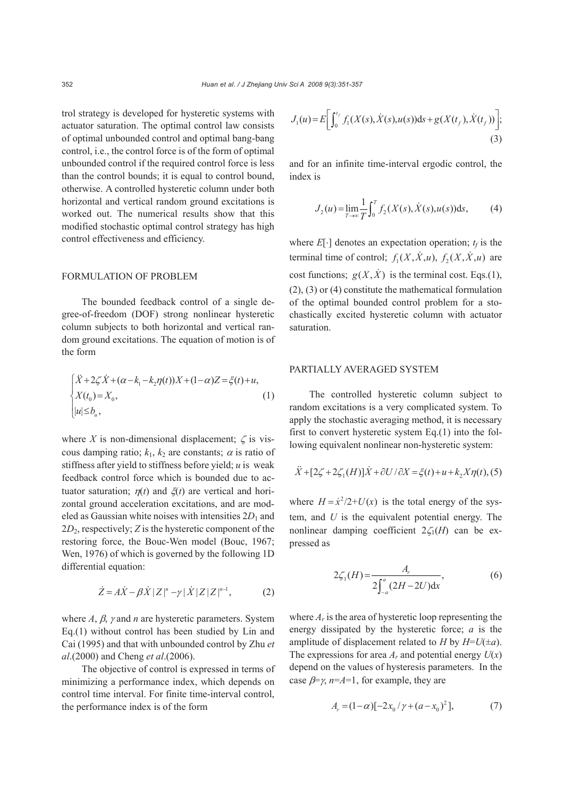trol strategy is developed for hysteretic systems with actuator saturation. The optimal control law consists of optimal unbounded control and optimal bang-bang control, i.e., the control force is of the form of optimal unbounded control if the required control force is less than the control bounds; it is equal to control bound, otherwise. A controlled hysteretic column under both horizontal and vertical random ground excitations is worked out. The numerical results show that this modified stochastic optimal control strategy has high control effectiveness and efficiency.

## FORMULATION OF PROBLEM

The bounded feedback control of a single degree-of-freedom (DOF) strong nonlinear hysteretic column subjects to both horizontal and vertical random ground excitations. The equation of motion is of the form

$$
\begin{cases}\n\ddot{X} + 2\zeta \dot{X} + (\alpha - k_1 - k_2 \eta(t))X + (1 - \alpha)Z = \xi(t) + u, \\
X(t_0) = X_0, \\
|u| \le b_u,\n\end{cases} (1)
$$

where *X* is non-dimensional displacement;  $\zeta$  is viscous damping ratio;  $k_1$ ,  $k_2$  are constants;  $\alpha$  is ratio of stiffness after yield to stiffness before yield; *u* is weak feedback control force which is bounded due to actuator saturation;  $\eta(t)$  and  $\xi(t)$  are vertical and horizontal ground acceleration excitations, and are modeled as Gaussian white noises with intensities  $2D_1$  and 2*D*2, respectively; *Z* is the hysteretic component of the restoring force, the Bouc-Wen model (Bouc, 1967; Wen, 1976) of which is governed by the following 1D differential equation:

$$
\dot{Z} = A\dot{X} - \beta \dot{X} |Z|^n - \gamma |\dot{X}| |ZZ|^{n-1},
$$
 (2)

where *A*, β, γ and *n* are hysteretic parameters. System Eq.(1) without control has been studied by Lin and Cai (1995) and that with unbounded control by Zhu *et al*.(2000) and Cheng *et al*.(2006).

The objective of control is expressed in terms of minimizing a performance index, which depends on control time interval. For finite time-interval control, the performance index is of the form

$$
J_1(u) = E\bigg[\int_0^{t_f} f_1(X(s), \dot{X}(s), u(s))ds + g(X(t_f), \dot{X}(t_f))\bigg];
$$
\n(3)

and for an infinite time-interval ergodic control, the index is

$$
J_2(u) = \lim_{T \to \infty} \frac{1}{T} \int_0^T f_2(X(s), \dot{X}(s), u(s)) \, ds,\tag{4}
$$

where  $E[\cdot]$  denotes an expectation operation;  $t_f$  is the terminal time of control;  $f_1(X, \dot{X}, u)$ ,  $f_2(X, \dot{X}, u)$  are cost functions;  $g(X, \dot{X})$  is the terminal cost. Eqs.(1), (2), (3) or (4) constitute the mathematical formulation of the optimal bounded control problem for a stochastically excited hysteretic column with actuator saturation.

## PARTIALLY AVERAGED SYSTEM

The controlled hysteretic column subject to random excitations is a very complicated system. To apply the stochastic averaging method, it is necessary first to convert hysteretic system Eq.(1) into the following equivalent nonlinear non-hysteretic system:

$$
\ddot{X} + [2\zeta + 2\zeta_1(H)]\dot{X} + \frac{\partial U}{\partial X} = \xi(t) + u + k_2 X \eta(t),
$$
 (5)

where  $H = \dot{x}^2/2 + U(x)$  is the total energy of the system, and *U* is the equivalent potential energy. The nonlinear damping coefficient  $2\zeta_1(H)$  can be expressed as

$$
2\zeta_1(H) = \frac{A_r}{2\int_{-a}^{a} (2H - 2U) \mathrm{d}x},\tag{6}
$$

where  $A_r$  is the area of hysteretic loop representing the energy dissipated by the hysteretic force; *a* is the amplitude of displacement related to *H* by  $H=U(\pm a)$ . The expressions for area  $A_r$  and potential energy  $U(x)$ depend on the values of hysteresis parameters. In the case  $\beta = \gamma$ ,  $n = A = 1$ , for example, they are

$$
A_r = (1 - \alpha) [-2x_0/\gamma + (a - x_0)^2], \tag{7}
$$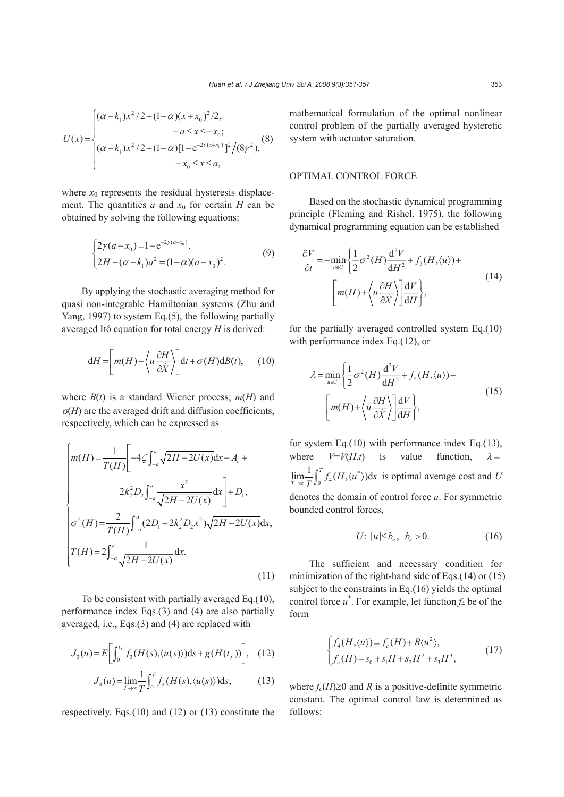$$
U(x) = \begin{cases} (\alpha - k_1)x^2/2 + (1 - \alpha)(x + x_0)^2/2, & -a \le x \le -x_0; \\ (\alpha - k_1)x^2/2 + (1 - \alpha)[1 - e^{-2\gamma(x + x_0)}]^2/(8\gamma^2), & -x_0 \le x \le a, \end{cases}
$$
(8)

where  $x_0$  represents the residual hysteresis displacement. The quantities *a* and  $x_0$  for certain *H* can be obtained by solving the following equations:

$$
\begin{cases} 2\gamma(a-x_0) = 1 - e^{-2\gamma(a+x_0)}, \\ 2H - (\alpha - k_1)a^2 = (1-\alpha)(a-x_0)^2. \end{cases}
$$
 (9)

By applying the stochastic averaging method for quasi non-integrable Hamiltonian systems (Zhu and Yang, 1997) to system Eq.(5), the following partially averaged Itô equation for total energy *H* is derived:

$$
dH = \left[ m(H) + \left\langle u \frac{\partial H}{\partial \dot{X}} \right\rangle \right] dt + \sigma(H) dB(t), \qquad (10)
$$

where  $B(t)$  is a standard Wiener process;  $m(H)$  and  $\sigma$ (*H*) are the averaged drift and diffusion coefficients, respectively, which can be expressed as

$$
\begin{cases}\nm(H) = \frac{1}{T(H)} \left[ -4\zeta \int_{-a}^{a} \sqrt{2H - 2U(x)} dx - A_r + 2K^2 D_2 \int_{-a}^{a} \frac{x^2}{\sqrt{2H - 2U(x)}} dx \right] + D_1, \\
\sigma^2(H) = \frac{2}{T(H)} \int_{-a}^{a} (2D_1 + 2K^2 D_2 x^2) \sqrt{2H - 2U(x)} dx, \\
T(H) = 2 \int_{-a}^{a} \frac{1}{\sqrt{2H - 2U(x)}} dx.\n\end{cases} \tag{11}
$$

To be consistent with partially averaged Eq.(10), performance index Eqs.(3) and (4) are also partially averaged, i.e., Eqs.(3) and (4) are replaced with

$$
J_3(u) = E\bigg[\int_0^{t_f} f_3(H(s), \langle u(s) \rangle) \mathrm{d}s + g(H(t_f))\bigg], \quad (12)
$$

$$
J_4(u) = \lim_{T \to \infty} \frac{1}{T} \int_0^T f_4(H(s), \langle u(s) \rangle) ds,
$$
 (13)

respectively. Eqs.(10) and (12) or (13) constitute the

mathematical formulation of the optimal nonlinear control problem of the partially averaged hysteretic system with actuator saturation.

#### OPTIMAL CONTROL FORCE

Based on the stochastic dynamical programming principle (Fleming and Rishel, 1975), the following dynamical programming equation can be established

$$
\frac{\partial V}{\partial t} = -\min_{u \in U} \left\{ \frac{1}{2} \sigma^2(H) \frac{d^2 V}{d H^2} + f_3(H, \langle u \rangle) + \left[ m(H) + \left\langle u \frac{\partial H}{\partial \dot{X}} \right\rangle \right] \frac{dV}{dH} \right\},\tag{14}
$$

for the partially averaged controlled system Eq.(10) with performance index Eq.(12), or

$$
\lambda = \min_{u \in U} \left\{ \frac{1}{2} \sigma^2(H) \frac{d^2 V}{d H^2} + f_4(H, \langle u \rangle) + \right\}
$$

$$
\left[ m(H) + \left\langle u \frac{\partial H}{\partial \dot{X}} \right\rangle \right] \frac{dV}{dH}, \tag{15}
$$

for system Eq.(10) with performance index Eq.(13), where  $V=V(H,t)$  is value function,  $\lambda =$  $\lim_{T \to \infty} \frac{1}{T} \int_0^T f_4(H, \langle u^* \rangle) \, ds$  is optimal average cost and *U* denotes the domain of control force *u*. For symmetric bounded control forces,

$$
U: |u| \le b_u, b_u > 0. \tag{16}
$$

The sufficient and necessary condition for minimization of the right-hand side of Eqs.(14) or (15) subject to the constraints in Eq.(16) yields the optimal control force  $u^*$ . For example, let function  $f_4$  be of the form

$$
\begin{cases}\nf_4(H, \langle u \rangle) = f_c(H) + R \langle u^2 \rangle, \\
f_c(H) = s_0 + s_1 H + s_2 H^2 + s_3 H^3,\n\end{cases} (17)
$$

where  $f_c(H) \ge 0$  and *R* is a positive-definite symmetric constant. The optimal control law is determined as follows: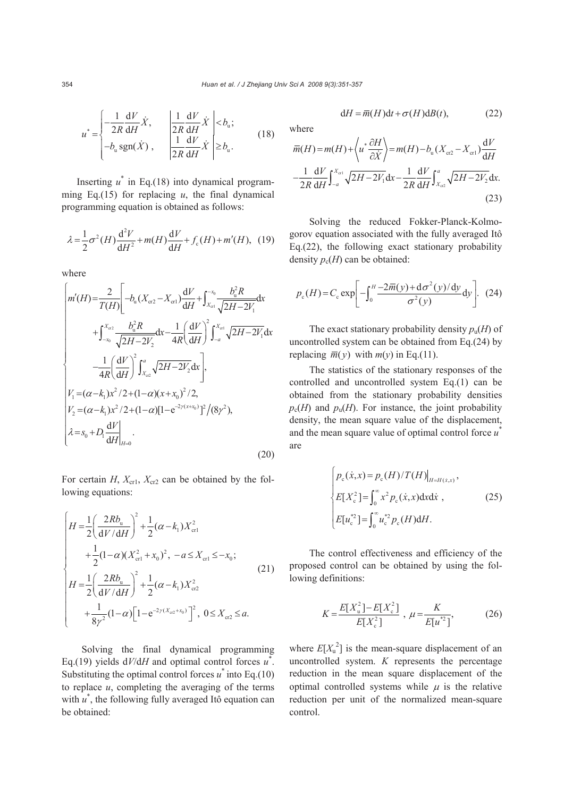where

$$
u^* = \begin{cases} -\frac{1}{2R} \frac{dV}{dH} \dot{X}, & \left| \frac{1}{2R} \frac{dV}{dH} \dot{X} \right| < b_u; \\ -b_u \operatorname{sgn}(\dot{X}), & \left| \frac{1}{2R} \frac{dV}{dH} \dot{X} \right| \ge b_u. \end{cases}
$$
(18)

Inserting  $u^*$  in Eq.(18) into dynamical programming Eq.(15) for replacing  $u$ , the final dynamical programming equation is obtained as follows:

$$
\lambda = \frac{1}{2}\sigma^2(H)\frac{d^2V}{dH^2} + m(H)\frac{dV}{dH} + f_c(H) + m'(H), \quad (19)
$$

where

$$
\begin{cases}\nm'(H) = \frac{2}{T(H)} \left[ -b_{\mathrm{u}}(X_{\mathrm{cr}2} - X_{\mathrm{cr}1}) \frac{dV}{dH} + \int_{x_{\mathrm{cr}}}^{x_{0}} \frac{b_{\mathrm{u}}^{2}R}{\sqrt{2H - 2V_{1}}} \mathrm{d}x \right. \\
\left. + \int_{-x_{0}}^{x_{\mathrm{cr}2}} \frac{b_{\mathrm{u}}^{2}R}{\sqrt{2H - 2V_{2}}} \mathrm{d}x - \frac{1}{4R} \left( \frac{dV}{dH} \right)^{2} \int_{-a}^{x_{\mathrm{cr}1}} \sqrt{2H - 2V_{1}} \mathrm{d}x \right. \\
\left. - \frac{1}{4R} \left( \frac{dV}{dH} \right)^{2} \int_{x_{\mathrm{u}}2}^{a} \sqrt{2H - 2V_{2}} \mathrm{d}x \right], \\
V_{1} = (\alpha - k_{1})x^{2}/2 + (1 - \alpha)(x + x_{0})^{2}/2, \\
V_{2} = (\alpha - k_{1})x^{2}/2 + (1 - \alpha)[1 - e^{-2\gamma(x + x_{0})}]^{2}/(8\gamma^{2}), \\
\lambda = s_{0} + D_{1} \frac{dV}{dH}\Big|_{H=0}.\n\end{cases} \tag{20}
$$

For certain *H*,  $X_{cr1}$ ,  $X_{cr2}$  can be obtained by the following equations:

$$
\begin{cases}\nH = \frac{1}{2} \left( \frac{2Rb_{\mathrm{u}}}{\mathrm{d}V/\mathrm{d}H} \right)^2 + \frac{1}{2} (\alpha - k_1) X_{\mathrm{cr1}}^2 \\
+ \frac{1}{2} (1 - \alpha) (X_{\mathrm{cr1}}^2 + x_0)^2, \ -a \le X_{\mathrm{cr1}} \le -x_0; \\
H = \frac{1}{2} \left( \frac{2Rb_{\mathrm{u}}}{\mathrm{d}V/\mathrm{d}H} \right)^2 + \frac{1}{2} (\alpha - k_1) X_{\mathrm{cr2}}^2 \\
+ \frac{1}{8\gamma^2} (1 - \alpha) \left[ 1 - e^{-2\gamma(X_{\mathrm{cr2}} + x_0)} \right]^2, \ 0 \le X_{\mathrm{cr2}} \le a.\n\end{cases} \tag{21}
$$

Solving the final dynamical programming Eq.(19) yields  $dV/dH$  and optimal control forces  $u^*$ . Substituting the optimal control forces  $u^*$  into Eq.(10) to replace  $u$ , completing the averaging of the terms with  $u^*$ , the following fully averaged Itô equation can be obtained:

$$
dH = \overline{m}(H)dt + \sigma(H)dB(t),
$$
 (22)

$$
\overline{m}(H) = m(H) + \left\langle u^* \frac{\partial H}{\partial \dot{X}} \right\rangle = m(H) - b_u (X_{cr2} - X_{cr1}) \frac{dV}{dH}
$$

$$
- \frac{1}{2R} \frac{dV}{dH} \int_{-a}^{X_{cr1}} \sqrt{2H - 2V_1} dx - \frac{1}{2R} \frac{dV}{dH} \int_{X_{cr2}}^{a} \sqrt{2H - 2V_2} dx.
$$
\n(23)

Solving the reduced Fokker-Planck-Kolmogorov equation associated with the fully averaged Itô Eq.(22), the following exact stationary probability density  $p_c(H)$  can be obtained:

$$
p_{\rm c}(H) = C_{\rm c} \exp\left[-\int_0^H \frac{-2\overline{m}(y) + \mathrm{d}\sigma^2(y)/\mathrm{d}y}{\sigma^2(y)}\mathrm{d}y\right].
$$
 (24)

The exact stationary probability density  $p_{\text{u}}(H)$  of uncontrolled system can be obtained from Eq.(24) by replacing  $\overline{m}(y)$  with  $m(y)$  in Eq.(11).

The statistics of the stationary responses of the controlled and uncontrolled system Eq.(1) can be obtained from the stationary probability densities  $p_c(H)$  and  $p_u(H)$ . For instance, the joint probability density, the mean square value of the displacement, and the mean square value of optimal control force *u*\* are

$$
\begin{cases}\np_{\text{c}}(\dot{x},x) = p_{\text{c}}(H)/T(H)|_{H=H(\dot{x},x)}, \\
E[X_{\text{c}}^2] = \int_0^\infty x^2 p_{\text{c}}(\dot{x},x) \, \mathrm{d}x \, \mathrm{d}\dot{x}, \\
E[u_{\text{c}}^{*2}] = \int_0^\infty u_{\text{c}}^{*2} p_{\text{c}}(H) \, \mathrm{d}H.\n\end{cases} \tag{25}
$$

The control effectiveness and efficiency of the proposed control can be obtained by using the following definitions:

$$
K = \frac{E[X_{\rm u}^2] - E[X_{\rm c}^2]}{E[X_{\rm c}^2]} \, , \, \mu = \frac{K}{E[u^{*2}]}, \tag{26}
$$

where  $E[X_u^2]$  is the mean-square displacement of an uncontrolled system. *K* represents the percentage reduction in the mean square displacement of the optimal controlled systems while  $\mu$  is the relative reduction per unit of the normalized mean-square control.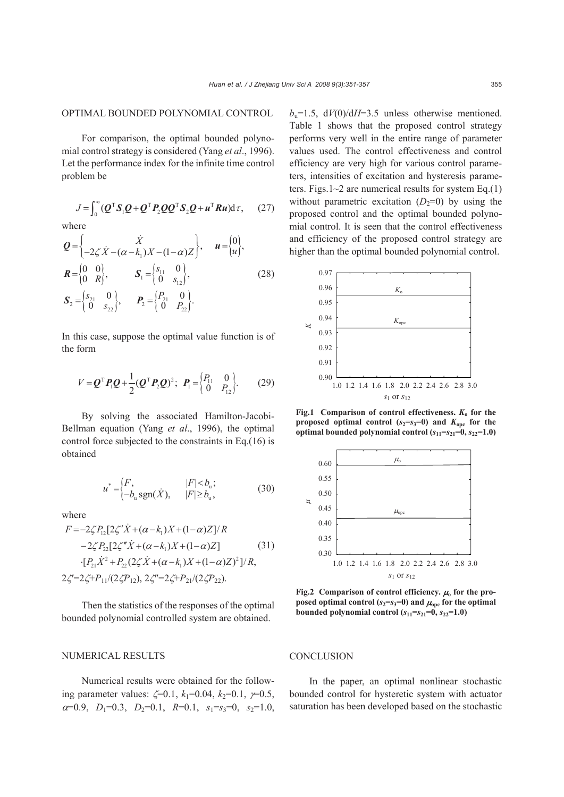### OPTIMAL BOUNDED POLYNOMIAL CONTROL

For comparison, the optimal bounded polynomial control strategy is considered (Yang *et al*., 1996). Let the performance index for the infinite time control problem be

 $J = \int_0^\infty (\boldsymbol{Q}^{\mathrm{T}} \boldsymbol{S}_1 \boldsymbol{Q} + \boldsymbol{Q}^{\mathrm{T}} \boldsymbol{P}_2 \boldsymbol{Q} \boldsymbol{Q}^{\mathrm{T}} \boldsymbol{S}_2 \boldsymbol{Q} + \boldsymbol{u}^{\mathrm{T}} \boldsymbol{R} \boldsymbol{u}) d\tau,$  (27) where

$$
\mathbf{Q} = \begin{cases}\n\dot{X} & \text{if } u = \begin{cases} 0 \\ -2\zeta \dot{X} - (\alpha - k_1)X - (1 - \alpha)Z \end{cases}, \quad u = \begin{cases} 0 \\ u \end{cases}, \\
\mathbf{R} = \begin{cases} 0 & 0 \\ 0 & R \end{cases}, \quad \mathbf{S}_1 = \begin{cases} s_{11} & 0 \\ 0 & s_{12} \end{cases}, \\
\mathbf{S}_2 = \begin{cases} s_{21} & 0 \\ 0 & s_{22} \end{cases}, \quad \mathbf{P}_2 = \begin{cases} P_{21} & 0 \\ 0 & P_{22} \end{cases}.\n\tag{28}
$$

In this case, suppose the optimal value function is of the form

$$
V = \mathbf{Q}^{\mathrm{T}} \mathbf{P}_{1} \mathbf{Q} + \frac{1}{2} (\mathbf{Q}^{\mathrm{T}} \mathbf{P}_{2} \mathbf{Q})^{2}; \ \mathbf{P}_{1} = \begin{pmatrix} P_{11} & 0 \\ 0 & P_{12} \end{pmatrix}.
$$
 (29)

By solving the associated Hamilton-Jacobi-Bellman equation (Yang *et al*., 1996), the optimal control force subjected to the constraints in Eq.(16) is obtained

$$
u^* = \begin{cases} F, & |F| < b_u; \\ -b_u \text{sgn}(\dot{X}), & |F| \ge b_u, \end{cases}
$$
 (30)

where

$$
F = -2\zeta P_{12}[2\zeta' \dot{X} + (\alpha - k_1)X + (1 - \alpha)Z]/R
$$
  
\n
$$
-2\zeta P_{22}[2\zeta'' \dot{X} + (\alpha - k_1)X + (1 - \alpha)Z]
$$
  
\n
$$
\cdot [P_{21}\dot{X}^2 + P_{22}(2\zeta \dot{X} + (\alpha - k_1)X + (1 - \alpha)Z)^2]/R,
$$
  
\n
$$
2\zeta = 2\zeta + P_{11}/(2\zeta P_{12}), 2\zeta'' = 2\zeta + P_{21}/(2\zeta P_{22}).
$$
  
\n(31)

Then the statistics of the responses of the optimal bounded polynomial controlled system are obtained.

NUMERICAL RESULTS

Numerical results were obtained for the following parameter values:  $\zeta = 0.1$ ,  $k_1 = 0.04$ ,  $k_2 = 0.1$ ,  $\gamma = 0.5$ ,  $\alpha=0.9$ ,  $D_1=0.3$ ,  $D_2=0.1$ ,  $R=0.1$ ,  $s_1=s_3=0$ ,  $s_2=1.0$ ,  $b<sub>u</sub>=1.5$ ,  $dV(0)/dH=3.5$  unless otherwise mentioned. Table 1 shows that the proposed control strategy performs very well in the entire range of parameter values used. The control effectiveness and control efficiency are very high for various control parameters, intensities of excitation and hysteresis parameters. Figs.1 $\sim$ 2 are numerical results for system Eq.(1) without parametric excitation  $(D_2=0)$  by using the proposed control and the optimal bounded polynomial control. It is seen that the control effectiveness and efficiency of the proposed control strategy are higher than the optimal bounded polynomial control.



**Fig.1** Comparison of control effectiveness.  $K_0$  for the **proposed optimal control (** $s_2 = s_3 = 0$ **) and**  $K_{\text{one}}$  **for the optimal bounded polynomial control**  $(s_{11}=s_{21}=0, s_{22}=1.0)$ 



**Fig.2** Comparison of control efficiency.  $\mu_0$  for the pro**posed optimal control (** $s_2 = s_3 = 0$ **) and**  $\mu_{\text{ope}}$  **for the optimal bounded polynomial control**  $(s_{11}=s_{21}=0, s_{22}=1.0)$ 

#### **CONCLUSION**

In the paper, an optimal nonlinear stochastic bounded control for hysteretic system with actuator saturation has been developed based on the stochastic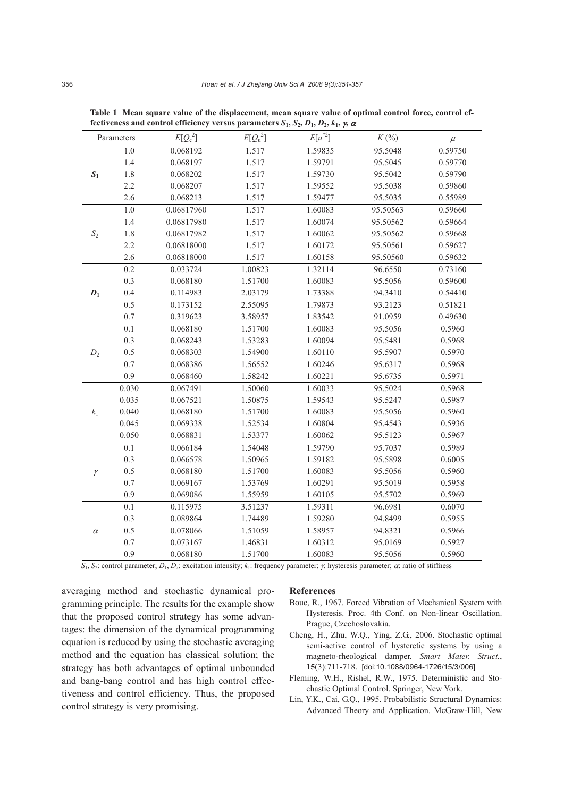|                 |         |                |            | $\overline{\phantom{0}}$<br>$\cdots$ |          |         |
|-----------------|---------|----------------|------------|--------------------------------------|----------|---------|
| Parameters      |         | $E[Q_{c}^{2}]$ | $E[Q_u^2]$ | $E[u^{*2}]$                          | $K(\%)$  | $\mu$   |
|                 | $1.0\,$ | 0.068192       | 1.517      | 1.59835                              | 95.5048  | 0.59750 |
|                 | 1.4     | 0.068197       | 1.517      | 1.59791                              | 95.5045  | 0.59770 |
| $S_1$           | 1.8     | 0.068202       | 1.517      | 1.59730                              | 95.5042  | 0.59790 |
|                 | 2.2     | 0.068207       | 1.517      | 1.59552                              | 95.5038  | 0.59860 |
|                 | 2.6     | 0.068213       | 1.517      | 1.59477                              | 95.5035  | 0.55989 |
| $\mathcal{S}_2$ | $1.0\,$ | 0.06817960     | 1.517      | 1.60083                              | 95.50563 | 0.59660 |
|                 | 1.4     | 0.06817980     | 1.517      | 1.60074                              | 95.50562 | 0.59664 |
|                 | 1.8     | 0.06817982     | 1.517      | 1.60062                              | 95.50562 | 0.59668 |
|                 | 2.2     | 0.06818000     | 1.517      | 1.60172                              | 95.50561 | 0.59627 |
|                 | 2.6     | 0.06818000     | 1.517      | 1.60158                              | 95.50560 | 0.59632 |
|                 | 0.2     | 0.033724       | 1.00823    | 1.32114                              | 96.6550  | 0.73160 |
|                 | 0.3     | 0.068180       | 1.51700    | 1.60083                              | 95.5056  | 0.59600 |
| $D_1$           | 0.4     | 0.114983       | 2.03179    | 1.73388                              | 94.3410  | 0.54410 |
|                 | $0.5\,$ | 0.173152       | 2.55095    | 1.79873                              | 93.2123  | 0.51821 |
|                 | 0.7     | 0.319623       | 3.58957    | 1.83542                              | 91.0959  | 0.49630 |
| $D_2$           | 0.1     | 0.068180       | 1.51700    | 1.60083                              | 95.5056  | 0.5960  |
|                 | 0.3     | 0.068243       | 1.53283    | 1.60094                              | 95.5481  | 0.5968  |
|                 | 0.5     | 0.068303       | 1.54900    | 1.60110                              | 95.5907  | 0.5970  |
|                 | 0.7     | 0.068386       | 1.56552    | 1.60246                              | 95.6317  | 0.5968  |
|                 | 0.9     | 0.068460       | 1.58242    | 1.60221                              | 95.6735  | 0.5971  |
| $k_1$           | 0.030   | 0.067491       | 1.50060    | 1.60033                              | 95.5024  | 0.5968  |
|                 | 0.035   | 0.067521       | 1.50875    | 1.59543                              | 95.5247  | 0.5987  |
|                 | 0.040   | 0.068180       | 1.51700    | 1.60083                              | 95.5056  | 0.5960  |
|                 | 0.045   | 0.069338       | 1.52534    | 1.60804                              | 95.4543  | 0.5936  |
|                 | 0.050   | 0.068831       | 1.53377    | 1.60062                              | 95.5123  | 0.5967  |
| $\gamma$        | $0.1\,$ | 0.066184       | 1.54048    | 1.59790                              | 95.7037  | 0.5989  |
|                 | 0.3     | 0.066578       | 1.50965    | 1.59182                              | 95.5898  | 0.6005  |
|                 | 0.5     | 0.068180       | 1.51700    | 1.60083                              | 95.5056  | 0.5960  |
|                 | 0.7     | 0.069167       | 1.53769    | 1.60291                              | 95.5019  | 0.5958  |
|                 | 0.9     | 0.069086       | 1.55959    | 1.60105                              | 95.5702  | 0.5969  |
| $\alpha$        | 0.1     | 0.115975       | 3.51237    | 1.59311                              | 96.6981  | 0.6070  |
|                 | 0.3     | 0.089864       | 1.74489    | 1.59280                              | 94.8499  | 0.5955  |
|                 | 0.5     | 0.078066       | 1.51059    | 1.58957                              | 94.8321  | 0.5966  |
|                 | 0.7     | 0.073167       | 1.46831    | 1.60312                              | 95.0169  | 0.5927  |
|                 | 0.9     | 0.068180       | 1.51700    | 1.60083                              | 95.5056  | 0.5960  |

**Table 1 Mean square value of the displacement, mean square value of optimal control force, control effectiveness and control efficiency versus parameters**  $S_1$ **,**  $S_2$ **,**  $D_1$ **,**  $D_2$ **,**  $k_1$ **,**  $\gamma$ **,**  $\alpha$ 

 $S_1$ ,  $S_2$ : control parameter;  $D_1$ ,  $D_2$ : excitation intensity;  $k_1$ : frequency parameter;  $\gamma$ : hysteresis parameter;  $\alpha$ : ratio of stiffness

averaging method and stochastic dynamical programming principle. The results for the example show that the proposed control strategy has some advantages: the dimension of the dynamical programming equation is reduced by using the stochastic averaging method and the equation has classical solution; the strategy has both advantages of optimal unbounded and bang-bang control and has high control effectiveness and control efficiency. Thus, the proposed control strategy is very promising.

#### **References**

- Bouc, R., 1967. Forced Vibration of Mechanical System with Hysteresis. Proc. 4th Conf. on Non-linear Oscillation. Prague, Czechoslovakia.
- Cheng, H., Zhu, W.Q., Ying, Z.G., 2006. Stochastic optimal semi-active control of hysteretic systems by using a magneto-rheological damper. *Smart Mater. Struct.*, **15**(3):711-718. [doi:10.1088/0964-1726/15/3/006]
- Fleming, W.H., Rishel, R.W., 1975. Deterministic and Stochastic Optimal Control. Springer, New York.
- Lin, Y.K., Cai, G.Q., 1995. Probabilistic Structural Dynamics: Advanced Theory and Application. McGraw-Hill, New